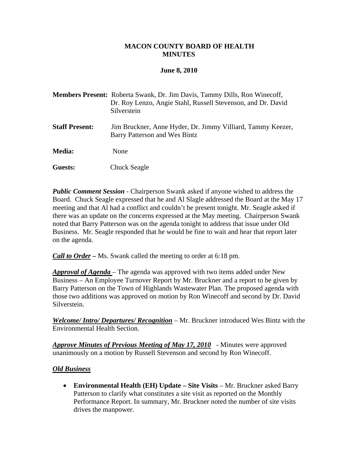### **MACON COUNTY BOARD OF HEALTH MINUTES**

### **June 8, 2010**

|                       | <b>Members Present:</b> Roberta Swank, Dr. Jim Davis, Tammy Dills, Ron Winecoff,<br>Dr. Roy Lenzo, Angie Stahl, Russell Stevenson, and Dr. David<br>Silverstein |
|-----------------------|-----------------------------------------------------------------------------------------------------------------------------------------------------------------|
| <b>Staff Present:</b> | Jim Bruckner, Anne Hyder, Dr. Jimmy Villiard, Tammy Keezer,<br>Barry Patterson and Wes Bintz                                                                    |
| <b>Media:</b>         | None                                                                                                                                                            |
| Guests:               | <b>Chuck Seagle</b>                                                                                                                                             |

*Public Comment Session* - Chairperson Swank asked if anyone wished to address the Board. Chuck Seagle expressed that he and Al Slagle addressed the Board at the May 17 meeting and that Al had a conflict and couldn't be present tonight. Mr. Seagle asked if there was an update on the concerns expressed at the May meeting. Chairperson Swank noted that Barry Patterson was on the agenda tonight to address that issue under Old Business. Mr. Seagle responded that he would be fine to wait and hear that report later on the agenda.

*Call to Order –* Ms. Swank called the meeting to order at 6:18 pm.

*Approval of Agenda* – The agenda was approved with two items added under New Business – An Employee Turnover Report by Mr. Bruckner and a report to be given by Barry Patterson on the Town of Highlands Wastewater Plan. The proposed agenda with those two additions was approved on motion by Ron Winecoff and second by Dr. David Silverstein.

*Welcome/ Intro/ Departures/ Recognition* – Mr. Bruckner introduced Wes Bintz with the Environmental Health Section.

*Approve Minutes of Previous Meeting of May 17, 2010* - Minutes were approved unanimously on a motion by Russell Stevenson and second by Ron Winecoff.

# *Old Business*

• **Environmental Health (EH) Update – Site Visits** – Mr. Bruckner asked Barry Patterson to clarify what constitutes a site visit as reported on the Monthly Performance Report. In summary, Mr. Bruckner noted the number of site visits drives the manpower.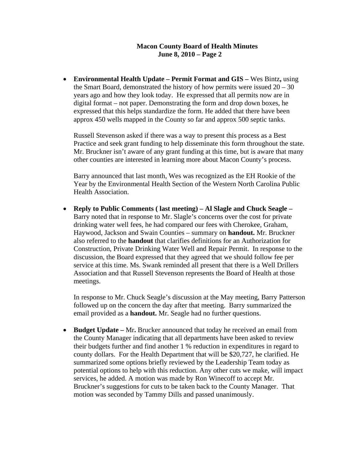#### **Macon County Board of Health Minutes June 8, 2010 – Page 2**

• **Environmental Health Update – Permit Format and GIS –** Wes Bintz**,** using the Smart Board, demonstrated the history of how permits were issued  $20 - 30$ years ago and how they look today. He expressed that all permits now are in digital format – not paper. Demonstrating the form and drop down boxes, he expressed that this helps standardize the form. He added that there have been approx 450 wells mapped in the County so far and approx 500 septic tanks.

Russell Stevenson asked if there was a way to present this process as a Best Practice and seek grant funding to help disseminate this form throughout the state. Mr. Bruckner isn't aware of any grant funding at this time, but is aware that many other counties are interested in learning more about Macon County's process.

Barry announced that last month, Wes was recognized as the EH Rookie of the Year by the Environmental Health Section of the Western North Carolina Public Health Association.

• **Reply to Public Comments ( last meeting) – Al Slagle and Chuck Seagle –**  Barry noted that in response to Mr. Slagle's concerns over the cost for private drinking water well fees, he had compared our fees with Cherokee, Graham, Haywood, Jackson and Swain Counties – summary on **handout.** Mr. Bruckner also referred to the **handout** that clarifies definitions for an Authorization for Construction, Private Drinking Water Well and Repair Permit. In response to the discussion, the Board expressed that they agreed that we should follow fee per service at this time. Ms. Swank reminded all present that there is a Well Drillers Association and that Russell Stevenson represents the Board of Health at those meetings.

In response to Mr. Chuck Seagle's discussion at the May meeting, Barry Patterson followed up on the concern the day after that meeting. Barry summarized the email provided as a **handout.** Mr. Seagle had no further questions.

• **Budget Update –** Mr**.** Brucker announced that today he received an email from the County Manager indicating that all departments have been asked to review their budgets further and find another 1 % reduction in expenditures in regard to county dollars. For the Health Department that will be \$20,727, he clarified. He summarized some options briefly reviewed by the Leadership Team today as potential options to help with this reduction. Any other cuts we make, will impact services, he added. A motion was made by Ron Winecoff to accept Mr. Bruckner's suggestions for cuts to be taken back to the County Manager. That motion was seconded by Tammy Dills and passed unanimously.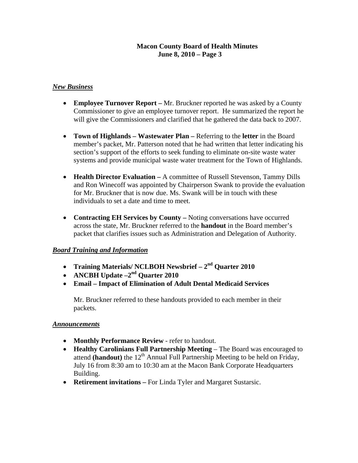# **Macon County Board of Health Minutes June 8, 2010 – Page 3**

# *New Business*

- **Employee Turnover Report** Mr. Bruckner reported he was asked by a County Commissioner to give an employee turnover report. He summarized the report he will give the Commissioners and clarified that he gathered the data back to 2007.
- **Town of Highlands Wastewater Plan** Referring to the **letter** in the Board member's packet, Mr. Patterson noted that he had written that letter indicating his section's support of the efforts to seek funding to eliminate on-site waste water systems and provide municipal waste water treatment for the Town of Highlands.
- **Health Director Evaluation** A committee of Russell Stevenson, Tammy Dills and Ron Winecoff was appointed by Chairperson Swank to provide the evaluation for Mr. Bruckner that is now due. Ms. Swank will be in touch with these individuals to set a date and time to meet.
- **Contracting EH Services by County** Noting conversations have occurred across the state, Mr. Bruckner referred to the **handout** in the Board member's packet that clarifies issues such as Administration and Delegation of Authority.

# *Board Training and Information*

- **Training Materials/ NCLBOH Newsbrief 2<sup>nd</sup> Ouarter 2010**
- **ANCBH Update –2nd Quarter 2010**
- **Email Impact of Elimination of Adult Dental Medicaid Services**

Mr. Bruckner referred to these handouts provided to each member in their packets.

#### *Announcements*

- **Monthly Performance Review**  refer to handout.
- **Healthy Carolinians Full Partnership Meeting** The Board was encouraged to attend (handout) the 12<sup>th</sup> Annual Full Partnership Meeting to be held on Friday, July 16 from 8:30 am to 10:30 am at the Macon Bank Corporate Headquarters Building.
- **Retirement invitations –** For Linda Tyler and Margaret Sustarsic.